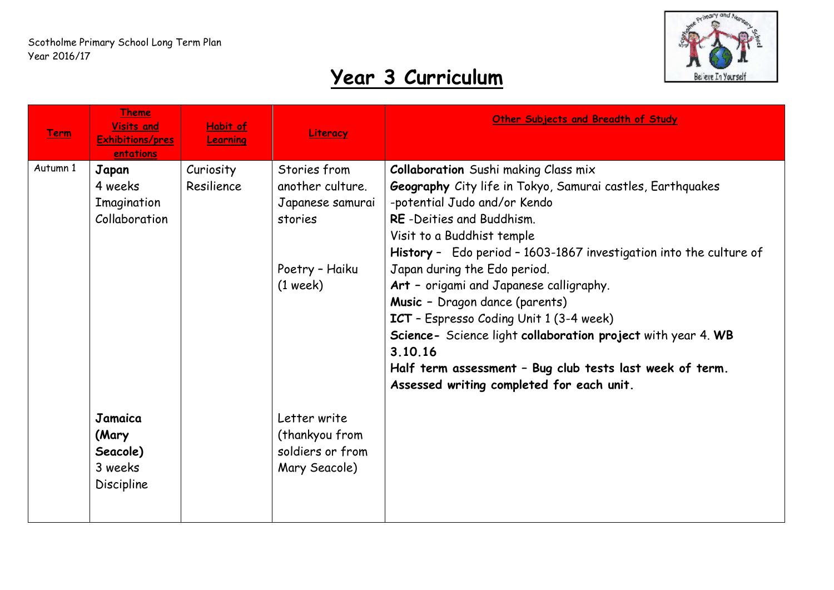

| <b>Term</b> | <b>Theme</b><br><b>Visits and</b><br><b>Exhibitions/pres</b><br>entations | Habit of<br>Learning    | Literacy                                                                                        | Other Subjects and Breadth of Study                                                                                                                                                                                                                                                                                                                                                                                                                                                                                                                                                                                   |
|-------------|---------------------------------------------------------------------------|-------------------------|-------------------------------------------------------------------------------------------------|-----------------------------------------------------------------------------------------------------------------------------------------------------------------------------------------------------------------------------------------------------------------------------------------------------------------------------------------------------------------------------------------------------------------------------------------------------------------------------------------------------------------------------------------------------------------------------------------------------------------------|
| Autumn 1    | Japan<br>4 weeks<br>Imagination<br>Collaboration                          | Curiosity<br>Resilience | Stories from<br>another culture.<br>Japanese samurai<br>stories<br>Poetry - Haiku<br>$(1$ week) | <b>Collaboration</b> Sushi making Class mix<br>Geography City life in Tokyo, Samurai castles, Earthquakes<br>-potential Judo and/or Kendo<br>RE-Deities and Buddhism.<br>Visit to a Buddhist temple<br>History - Edo period - 1603-1867 investigation into the culture of<br>Japan during the Edo period.<br>Art - origami and Japanese calligraphy.<br>Music - Dragon dance (parents)<br>ICT - Espresso Coding Unit 1 (3-4 week)<br>Science- Science light collaboration project with year 4. WB<br>3.10.16<br>Half term assessment - Bug club tests last week of term.<br>Assessed writing completed for each unit. |
|             | Jamaica<br>(Mary<br>Seacole)<br>3 weeks<br><b>Discipline</b>              |                         | Letter write<br>(thankyou from<br>soldiers or from<br>Mary Seacole)                             |                                                                                                                                                                                                                                                                                                                                                                                                                                                                                                                                                                                                                       |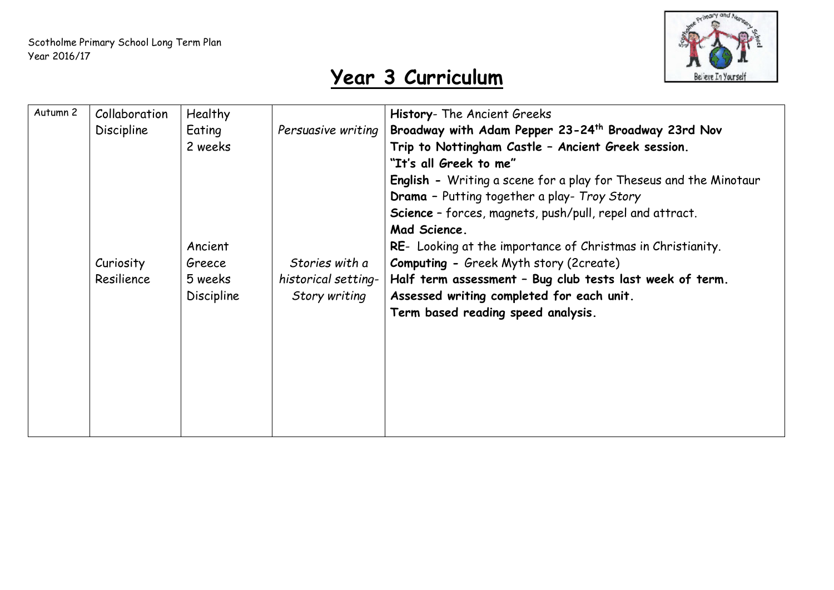

| Autumn 2 | Collaboration<br><b>Discipline</b><br>Curiosity<br>Resilience | Healthy<br>Eating<br>2 weeks<br>Ancient<br>Greece<br>5 weeks<br><b>Discipline</b> | Persuasive writing<br>Stories with a<br>historical setting-<br>Story writing | History- The Ancient Greeks<br>Broadway with Adam Pepper 23-24 <sup>th</sup> Broadway 23rd Nov<br>Trip to Nottingham Castle - Ancient Greek session.<br>"It's all Greek to me"<br><b>English -</b> Writing a scene for a play for Theseus and the Minotaur<br><b>Drama</b> - Putting together a play- Troy Story<br>Science - forces, magnets, push/pull, repel and attract.<br>Mad Science.<br>RE- Looking at the importance of Christmas in Christianity.<br><b>Computing - Greek Myth story (2create)</b><br>Half term assessment - Bug club tests last week of term.<br>Assessed writing completed for each unit.<br>Term based reading speed analysis. |
|----------|---------------------------------------------------------------|-----------------------------------------------------------------------------------|------------------------------------------------------------------------------|-------------------------------------------------------------------------------------------------------------------------------------------------------------------------------------------------------------------------------------------------------------------------------------------------------------------------------------------------------------------------------------------------------------------------------------------------------------------------------------------------------------------------------------------------------------------------------------------------------------------------------------------------------------|
|          |                                                               |                                                                                   |                                                                              |                                                                                                                                                                                                                                                                                                                                                                                                                                                                                                                                                                                                                                                             |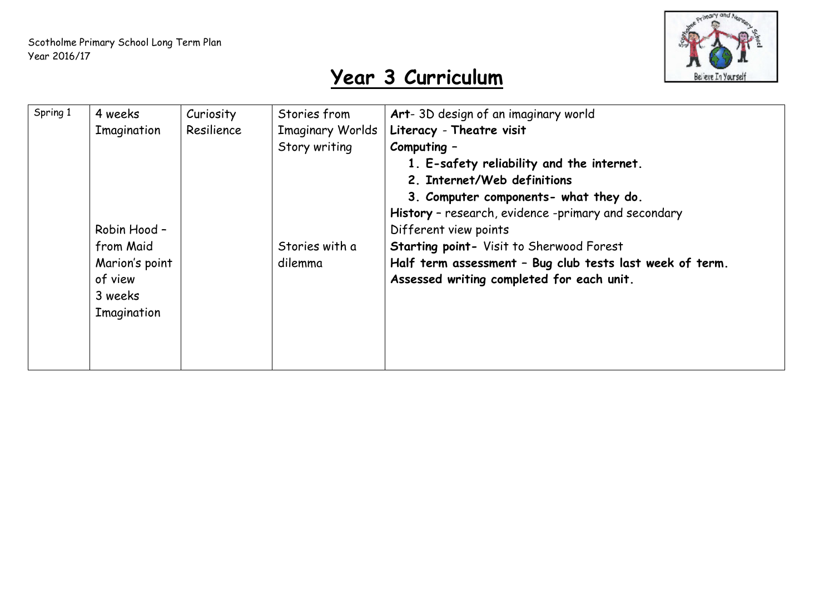

| Spring 1 | 4 weeks<br>Imagination<br>Robin Hood -                           | Curiosity<br>Resilience | Stories from<br><b>Imaginary Worlds</b><br>Story writing | Art-3D design of an imaginary world<br>Literacy - Theatre visit<br>Computing -<br>1. E-safety reliability and the internet.<br>2. Internet/Web definitions<br>3. Computer components- what they do.<br>History - research, evidence -primary and secondary<br>Different view points |
|----------|------------------------------------------------------------------|-------------------------|----------------------------------------------------------|-------------------------------------------------------------------------------------------------------------------------------------------------------------------------------------------------------------------------------------------------------------------------------------|
|          | from Maid<br>Marion's point<br>of view<br>3 weeks<br>Imagination |                         | Stories with a<br>dilemma                                | <b>Starting point- Visit to Sherwood Forest</b><br>Half term assessment - Bug club tests last week of term.<br>Assessed writing completed for each unit.                                                                                                                            |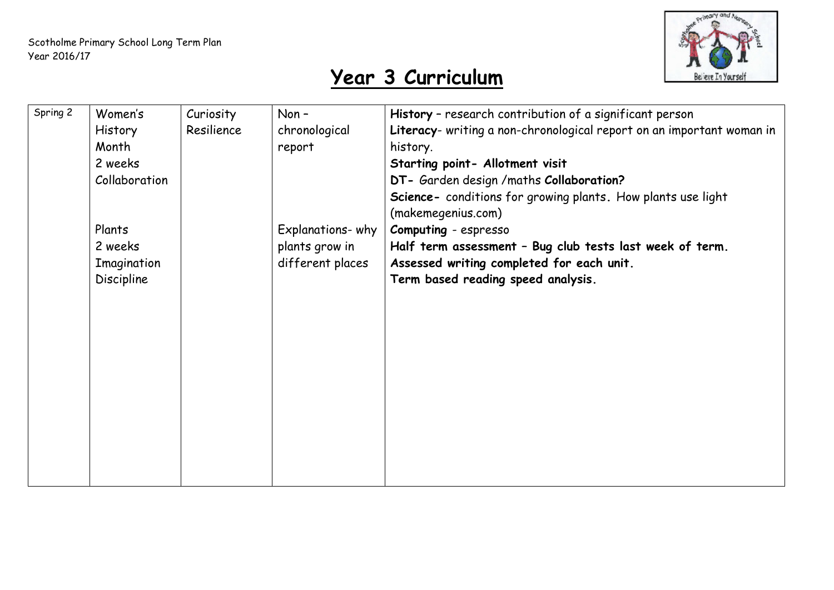

| Spring 2 | Women's        | Curiosity  | Non-             | History - research contribution of a significant person               |
|----------|----------------|------------|------------------|-----------------------------------------------------------------------|
|          | <b>History</b> | Resilience | chronological    | Literacy- writing a non-chronological report on an important woman in |
|          | Month          |            | report           | history.                                                              |
|          | 2 weeks        |            |                  | Starting point- Allotment visit                                       |
|          | Collaboration  |            |                  | DT- Garden design / maths Collaboration?                              |
|          |                |            |                  | Science- conditions for growing plants. How plants use light          |
|          |                |            |                  | (makemegenius.com)                                                    |
|          | Plants         |            | Explanations-why | Computing - espresso                                                  |
|          | 2 weeks        |            | plants grow in   | Half term assessment - Bug club tests last week of term.              |
|          | Imagination    |            | different places | Assessed writing completed for each unit.                             |
|          | Discipline     |            |                  | Term based reading speed analysis.                                    |
|          |                |            |                  |                                                                       |
|          |                |            |                  |                                                                       |
|          |                |            |                  |                                                                       |
|          |                |            |                  |                                                                       |
|          |                |            |                  |                                                                       |
|          |                |            |                  |                                                                       |
|          |                |            |                  |                                                                       |
|          |                |            |                  |                                                                       |
|          |                |            |                  |                                                                       |
|          |                |            |                  |                                                                       |
|          |                |            |                  |                                                                       |
|          |                |            |                  |                                                                       |